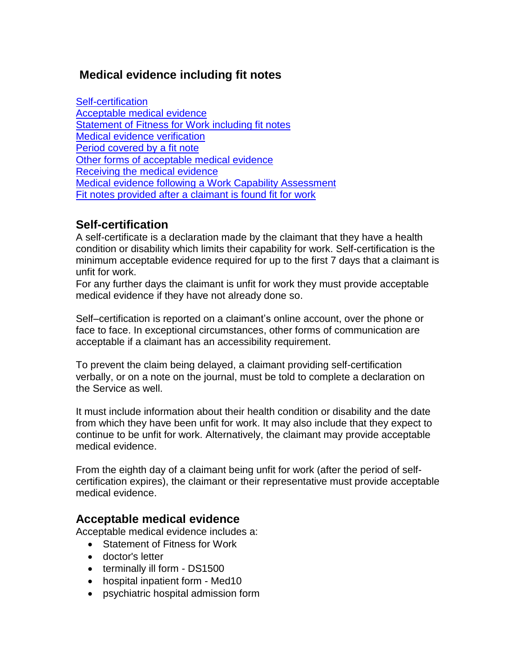# **Medical evidence including fit notes**

[Self-certification](#page-0-0) [Acceptable medical evidence](#page-0-1) [Statement of Fitness for Work including fit notes](#page-1-0) [Medical evidence verification](#page-1-1) [Period covered by a fit note](#page-2-0) [Other forms of acceptable medical evidence](#page-2-1) Receiving [the medical evidence](#page-4-0) Medical evidence following a [Work Capability Assessment](#page-5-0) [Fit notes provided after a](#page-5-1) claimant is found fit for work

# <span id="page-0-0"></span>**Self-certification**

A self-certificate is a declaration made by the claimant that they have a health condition or disability which limits their capability for work. Self-certification is the minimum acceptable evidence required for up to the first 7 days that a claimant is unfit for work.

For any further days the claimant is unfit for work they must provide acceptable medical evidence if they have not already done so.

Self–certification is reported on a claimant's online account, over the phone or face to face. In exceptional circumstances, other forms of communication are acceptable if a claimant has an accessibility requirement.

To prevent the claim being delayed, a claimant providing self-certification verbally, or on a note on the journal, must be told to complete a declaration on the Service as well.

It must include information about their health condition or disability and the date from which they have been unfit for work. It may also include that they expect to continue to be unfit for work. Alternatively, the claimant may provide acceptable medical evidence.

From the eighth day of a claimant being unfit for work (after the period of selfcertification expires), the claimant or their representative must provide acceptable medical evidence.

## <span id="page-0-1"></span>**Acceptable medical evidence**

Acceptable medical evidence includes a:

- Statement of Fitness for Work
- doctor's letter
- terminally ill form DS1500
- hospital inpatient form Med10
- psychiatric hospital admission form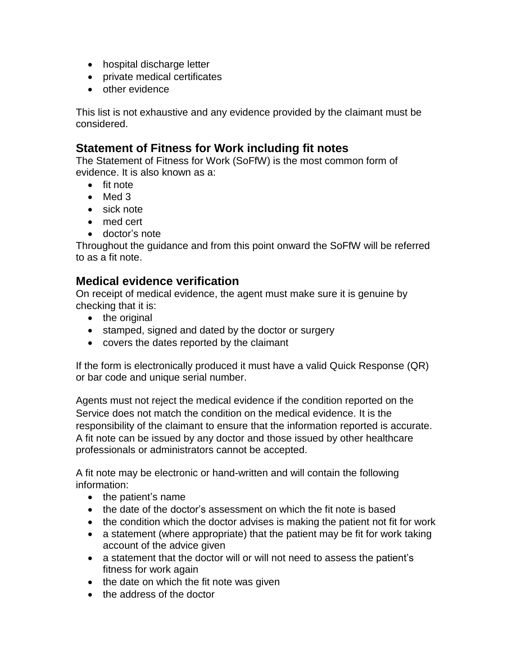- hospital discharge letter
- private medical certificates
- other evidence

This list is not exhaustive and any evidence provided by the claimant must be considered.

## <span id="page-1-0"></span>**Statement of Fitness for Work including fit notes**

The Statement of Fitness for Work (SoFfW) is the most common form of evidence. It is also known as a:

- fit note
- Med 3
- sick note
- med cert
- doctor's note

Throughout the guidance and from this point onward the SoFfW will be referred to as a fit note.

## <span id="page-1-1"></span>**Medical evidence verification**

On receipt of medical evidence, the agent must make sure it is genuine by checking that it is:

- the original
- stamped, signed and dated by the doctor or surgery
- covers the dates reported by the claimant

If the form is electronically produced it must have a valid Quick Response (QR) or bar code and unique serial number.

Agents must not reject the medical evidence if the condition reported on the Service does not match the condition on the medical evidence. It is the responsibility of the claimant to ensure that the information reported is accurate. A fit note can be issued by any doctor and those issued by other healthcare professionals or administrators cannot be accepted.

A fit note may be electronic or hand-written and will contain the following information:

- the patient's name
- the date of the doctor's assessment on which the fit note is based
- the condition which the doctor advises is making the patient not fit for work
- a statement (where appropriate) that the patient may be fit for work taking account of the advice given
- a statement that the doctor will or will not need to assess the patient's fitness for work again
- $\bullet$  the date on which the fit note was given
- the address of the doctor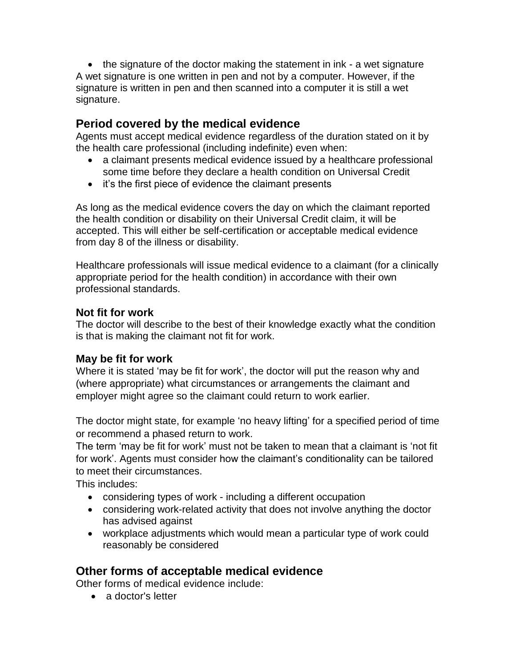• the signature of the doctor making the statement in ink - a wet signature A wet signature is one written in pen and not by a computer. However, if the signature is written in pen and then scanned into a computer it is still a wet signature.

## <span id="page-2-0"></span>**Period covered by the medical evidence**

Agents must accept medical evidence regardless of the duration stated on it by the health care professional (including indefinite) even when:

- a claimant presents medical evidence issued by a healthcare professional some time before they declare a health condition on Universal Credit
- it's the first piece of evidence the claimant presents

As long as the medical evidence covers the day on which the claimant reported the health condition or disability on their Universal Credit claim, it will be accepted. This will either be self-certification or acceptable medical evidence from day 8 of the illness or disability.

Healthcare professionals will issue medical evidence to a claimant (for a clinically appropriate period for the health condition) in accordance with their own professional standards.

### **Not fit for work**

The doctor will describe to the best of their knowledge exactly what the condition is that is making the claimant not fit for work.

### **May be fit for work**

Where it is stated 'may be fit for work', the doctor will put the reason why and (where appropriate) what circumstances or arrangements the claimant and employer might agree so the claimant could return to work earlier.

The doctor might state, for example 'no heavy lifting' for a specified period of time or recommend a phased return to work.

The term 'may be fit for work' must not be taken to mean that a claimant is 'not fit for work'. Agents must consider how the claimant's conditionality can be tailored to meet their circumstances.

This includes:

- considering types of work including a different occupation
- considering work-related activity that does not involve anything the doctor has advised against
- workplace adjustments which would mean a particular type of work could reasonably be considered

# <span id="page-2-1"></span>**Other forms of acceptable medical evidence**

Other forms of medical evidence include:

• a doctor's letter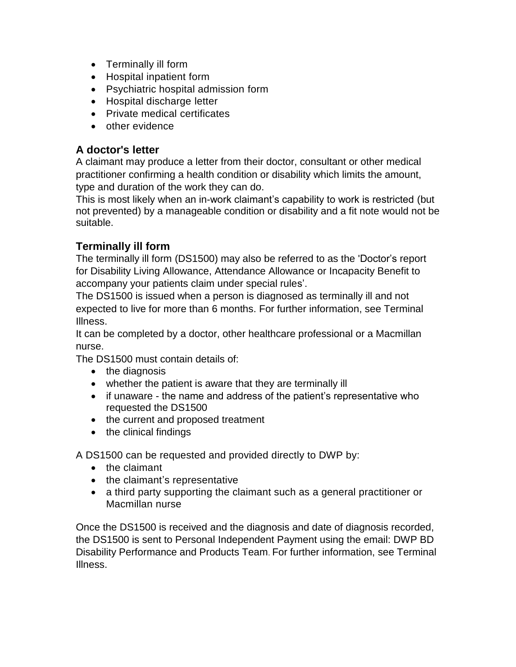- Terminally ill form
- Hospital inpatient form
- Psychiatric hospital admission form
- Hospital discharge letter
- Private medical certificates
- other evidence

### **A doctor's letter**

A claimant may produce a letter from their doctor, consultant or other medical practitioner confirming a health condition or disability which limits the amount, type and duration of the work they can do.

This is most likely when an in-work claimant's capability to work is restricted (but not prevented) by a manageable condition or disability and a fit note would not be suitable.

## **Terminally ill form**

The terminally ill form (DS1500) may also be referred to as the 'Doctor's report for Disability Living Allowance, Attendance Allowance or Incapacity Benefit to accompany your patients claim under special rules'.

The DS1500 is issued when a person is diagnosed as terminally ill and not expected to live for more than 6 months. For further information, see Terminal Illness.

It can be completed by a doctor, other healthcare professional or a Macmillan nurse.

The DS1500 must contain details of:

- the diagnosis
- whether the patient is aware that they are terminally ill
- if unaware the name and address of the patient's representative who requested the DS1500
- the current and proposed treatment
- the clinical findings

A DS1500 can be requested and provided directly to DWP by:

- the claimant
- the claimant's representative
- a third party supporting the claimant such as a general practitioner or Macmillan nurse

Once the DS1500 is received and the diagnosis and date of diagnosis recorded, the DS1500 is sent to Personal Independent Payment using the email: DWP BD Disability Performance and Products Team. For further information, see Terminal Illness.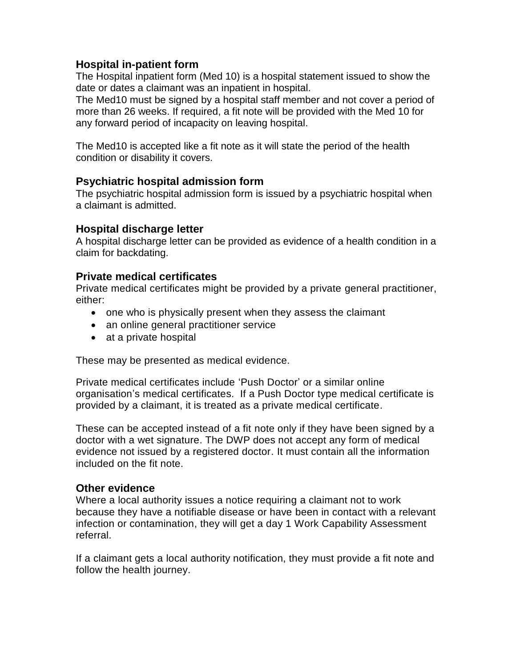### **Hospital in-patient form**

The Hospital inpatient form (Med 10) is a hospital statement issued to show the date or dates a claimant was an inpatient in hospital.

The Med10 must be signed by a hospital staff member and not cover a period of more than 26 weeks. If required, a fit note will be provided with the Med 10 for any forward period of incapacity on leaving hospital.

The Med10 is accepted like a fit note as it will state the period of the health condition or disability it covers.

#### **Psychiatric hospital admission form**

The psychiatric hospital admission form is issued by a psychiatric hospital when a claimant is admitted.

#### **Hospital discharge letter**

A hospital discharge letter can be provided as evidence of a health condition in a claim for backdating.

#### **Private medical certificates**

Private medical certificates might be provided by a private general practitioner, either:

- one who is physically present when they assess the claimant
- an online general practitioner service
- at a private hospital

These may be presented as medical evidence.

Private medical certificates include 'Push Doctor' or a similar online organisation's medical certificates. If a Push Doctor type medical certificate is provided by a claimant, it is treated as a private medical certificate.

These can be accepted instead of a fit note only if they have been signed by a doctor with a wet signature. The DWP does not accept any form of medical evidence not issued by a registered doctor. It must contain all the information included on the fit note.

#### **Other evidence**

Where a local authority issues a notice requiring a claimant not to work because they have a notifiable disease or have been in contact with a relevant infection or contamination, they will get a day 1 Work Capability Assessment referral.

<span id="page-4-0"></span>If a claimant gets a local authority notification, they must provide a fit note and follow the health journey.